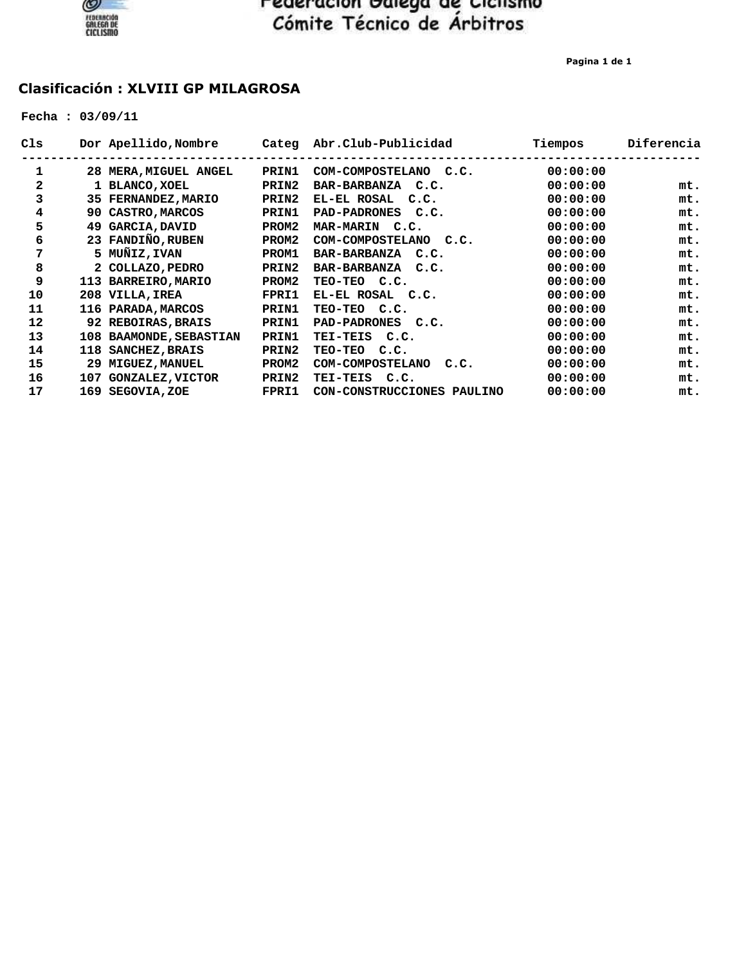

**Pagina 1 de 1**

#### **Clasificación : XLVIII GP MILAGROSA**

 **Fecha : 03/09/11**

| Cls | Dor Apellido, Nombre    |       | Categ Abr.Club-Publicidad  | Tiempos  | Diferencia |
|-----|-------------------------|-------|----------------------------|----------|------------|
| 1   | 28 MERA, MIGUEL ANGEL   | PRIN1 | COM-COMPOSTELANO C.C.      | 00:00:00 |            |
| 2   | 1 BLANCO, XOEL          | PRIN2 | BAR-BARBANZA C.C.          | 00:00:00 | mt.        |
| 3   | 35 FERNANDEZ, MARIO     | PRIN2 | EL-EL ROSAL C.C.           | 00:00:00 | mt.        |
| 4   | 90 CASTRO, MARCOS       | PRIN1 | PAD-PADRONES C.C.          | 00:00:00 | mt.        |
| 5   | 49 GARCIA, DAVID        | PROM2 | MAR-MARIN C.C.             | 00:00:00 | mt.        |
| 6   | 23 FANDIÑO, RUBEN       | PROM2 | COM-COMPOSTELANO C.C.      | 00:00:00 | mt.        |
| 7   | 5 MUÑIZ, IVAN           | PROM1 | BAR-BARBANZA C.C.          | 00:00:00 | mt.        |
| 8   | 2 COLLAZO, PEDRO        | PRIN2 | BAR-BARBANZA C.C.          | 00:00:00 | mt.        |
| 9   | 113 BARREIRO, MARIO     | PROM2 | TEO-TEO C.C.               | 00:00:00 | mt.        |
| 10  | 208 VILLA, IREA         | FPRI1 | EL-EL ROSAL C.C.           | 00:00:00 | mt.        |
| 11  | 116 PARADA, MARCOS      | PRIN1 | TEO-TEO C.C.               | 00:00:00 | mt.        |
| 12  | 92 REBOIRAS, BRAIS      | PRIN1 | PAD-PADRONES C.C.          | 00:00:00 | mt.        |
| 13  | 108 BAAMONDE, SEBASTIAN | PRIN1 | TEI-TEIS C.C.              | 00:00:00 | mt.        |
| 14  | 118 SANCHEZ, BRAIS      | PRIN2 | TEO-TEO C.C.               | 00:00:00 | mt.        |
| 15  | 29 MIGUEZ, MANUEL       | PROM2 | COM-COMPOSTELANO C.C.      | 00:00:00 | mt.        |
| 16  | 107 GONZALEZ, VICTOR    | PRIN2 | TEI-TEIS C.C.              | 00:00:00 | mt.        |
| 17  | 169 SEGOVIA, ZOE        | FPRI1 | CON-CONSTRUCCIONES PAULINO | 00:00:00 | mt.        |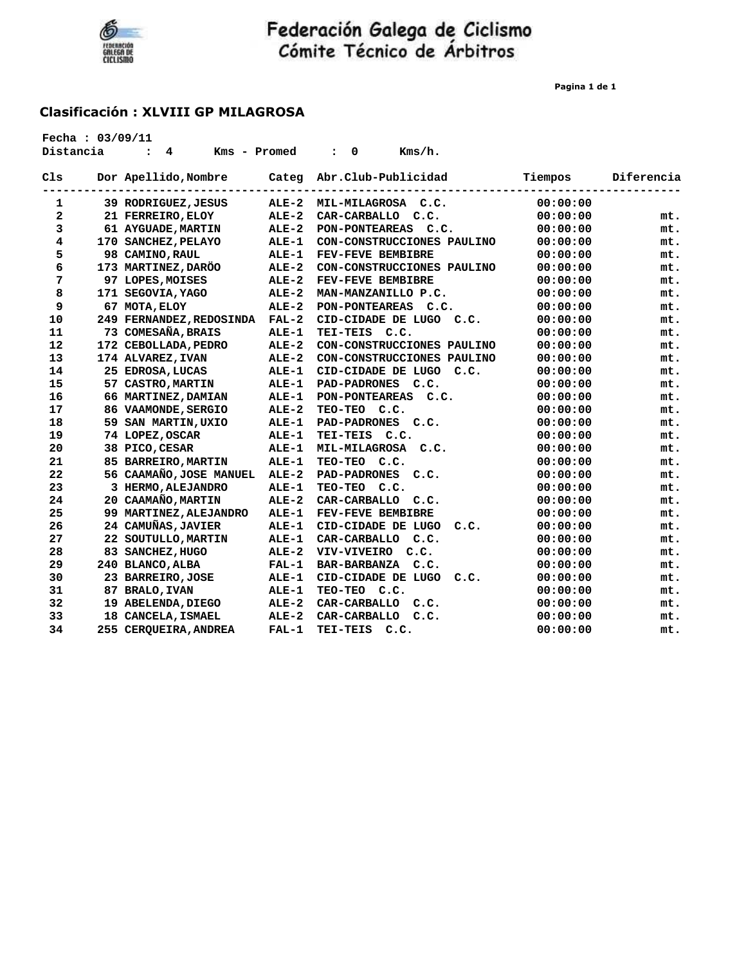

**Pagina 1 de 1**

| Distancia | Fecha: 03/09/11 | 4<br>Kms - Promed<br>$\ddot{\phantom{a}}$ |              | Kms/h.<br>0<br>$\ddot{\phantom{a}}$ |          |            |
|-----------|-----------------|-------------------------------------------|--------------|-------------------------------------|----------|------------|
| C1s       |                 | Dor Apellido, Nombre                      | Categ        | Abr.Club-Publicidad                 | Tiempos  | Diferencia |
| 1         |                 | 39 RODRIGUEZ, JESUS                       | $ALE-2$      | MIL-MILAGROSA C.C.                  | 00:00:00 |            |
| 2         |                 | 21 FERREIRO, ELOY                         | $ALE-2$      | CAR-CARBALLO C.C.                   | 00:00:00 | mt.        |
| 3         |                 | 61 AYGUADE, MARTIN                        | $ALE-2$      | PON-PONTEAREAS C.C.                 | 00:00:00 | mt.        |
| 4         |                 | 170 SANCHEZ, PELAYO                       | <b>ALE-1</b> | CON-CONSTRUCCIONES PAULINO          | 00:00:00 | mt.        |
| 5         |                 | 98 CAMINO, RAUL                           | $ALE-1$      | FEV-FEVE BEMBIBRE                   | 00:00:00 | mt.        |
| 6         |                 | 173 MARTINEZ, DARÖO                       | $ALE-2$      | CON-CONSTRUCCIONES PAULINO          | 00:00:00 | mt.        |
| 7         |                 | 97 LOPES, MOISES                          | $ALE-2$      | <b>FEV-FEVE BEMBIBRE</b>            | 00:00:00 | mt.        |
| 8         |                 | 171 SEGOVIA, YAGO                         | ALE-2        | MAN-MANZANILLO P.C.                 | 00:00:00 | mt.        |
| 9         |                 | 67 MOTA, ELOY                             | $ALE-2$      | PON-PONTEAREAS C.C.                 | 00:00:00 | mt.        |
| 10        |                 | 249 FERNANDEZ, REDOSINDA                  | $FAL-2$      | CID-CIDADE DE LUGO C.C.             | 00:00:00 | mt.        |
| 11        |                 | 73 COMESAÑA, BRAIS                        | ALE-1        | TEI-TEIS C.C.                       | 00:00:00 | mt.        |
| 12        |                 | 172 CEBOLLADA, PEDRO                      | $ALE-2$      | CON-CONSTRUCCIONES PAULINO          | 00:00:00 | mt.        |
| 13        |                 | 174 ALVAREZ, IVAN                         | $ALE-2$      | CON-CONSTRUCCIONES PAULINO          | 00:00:00 | mt.        |
| 14        |                 | 25 EDROSA, LUCAS                          | $ALE-1$      | CID-CIDADE DE LUGO<br>C.C.          | 00:00:00 | mt.        |
| 15        |                 | 57 CASTRO, MARTIN                         | $ALE-1$      | PAD-PADRONES C.C.                   | 00:00:00 | mt.        |
| 16        |                 | 66 MARTINEZ, DAMIAN                       | $ALE-1$      | PON-PONTEAREAS C.C.                 | 00:00:00 | mt.        |
| 17        |                 | 86 VAAMONDE, SERGIO                       | $ALE-2$      | TEO-TEO C.C.                        | 00:00:00 | mt.        |
| 18        |                 | 59 SAN MARTIN, UXIO                       | $ALE-1$      | PAD-PADRONES C.C.                   | 00:00:00 | mt.        |
| 19        |                 | 74 LOPEZ, OSCAR                           | $ALE-1$      | TEI-TEIS C.C.                       | 00:00:00 | mt.        |
| 20        |                 | 38 PICO, CESAR                            | $ALE-1$      | <b>MIL-MILAGROSA</b><br>C.C.        | 00:00:00 | mt.        |
| 21        |                 | 85 BARREIRO, MARTIN                       | $ALE-1$      | TEO-TEO C.C.                        | 00:00:00 | mt.        |
| 22        |                 | 56 CAAMAÑO, JOSE MANUEL                   | $ALE-2$      | PAD-PADRONES C.C.                   | 00:00:00 | mt.        |
| 23        |                 | 3 HERMO, ALEJANDRO                        | $ALE-1$      | TEO-TEO C.C.                        | 00:00:00 | mt.        |
| 24        |                 | 20 CAAMAÑO, MARTIN                        | $ALE-2$      | CAR-CARBALLO C.C.                   | 00:00:00 | mt.        |
| 25        |                 | 99 MARTINEZ, ALEJANDRO                    | $ALE-1$      | FEV-FEVE BEMBIBRE                   | 00:00:00 | mt.        |
| 26        |                 | 24 CAMUÑAS, JAVIER                        | $ALE-1$      | CID-CIDADE DE LUGO<br>c.c.          | 00:00:00 | mt.        |
| 27        |                 | 22 SOUTULLO, MARTIN                       | $ALE-1$      | CAR-CARBALLO<br>C.C.                | 00:00:00 | mt.        |
| 28        |                 | 83 SANCHEZ, HUGO                          | $ALE-2$      | VIV-VIVEIRO<br>C.C.                 | 00:00:00 | mt.        |
| 29        |                 | 240 BLANCO, ALBA                          | $FAL-1$      | BAR-BARBANZA C.C.                   | 00:00:00 | mt.        |
| 30        |                 | 23 BARREIRO, JOSE                         | ALE-1        | CID-CIDADE DE LUGO<br>c.c.          | 00:00:00 | mt.        |
| 31        |                 | 87 BRALO, IVAN                            | <b>ALE-1</b> | TEO-TEO C.C.                        | 00:00:00 | mt.        |
| 32        |                 | 19 ABELENDA, DIEGO                        | $ALE-2$      | CAR-CARBALLO<br>C.C.                | 00:00:00 | mt.        |
| 33        |                 | 18 CANCELA, ISMAEL                        | $ALE-2$      | CAR-CARBALLO<br>C.C.                | 00:00:00 | mt.        |
| 34        |                 | 255 CERQUEIRA, ANDREA                     | $FAL-1$      | TEI-TEIS<br>C.C.                    | 00:00:00 | mt.        |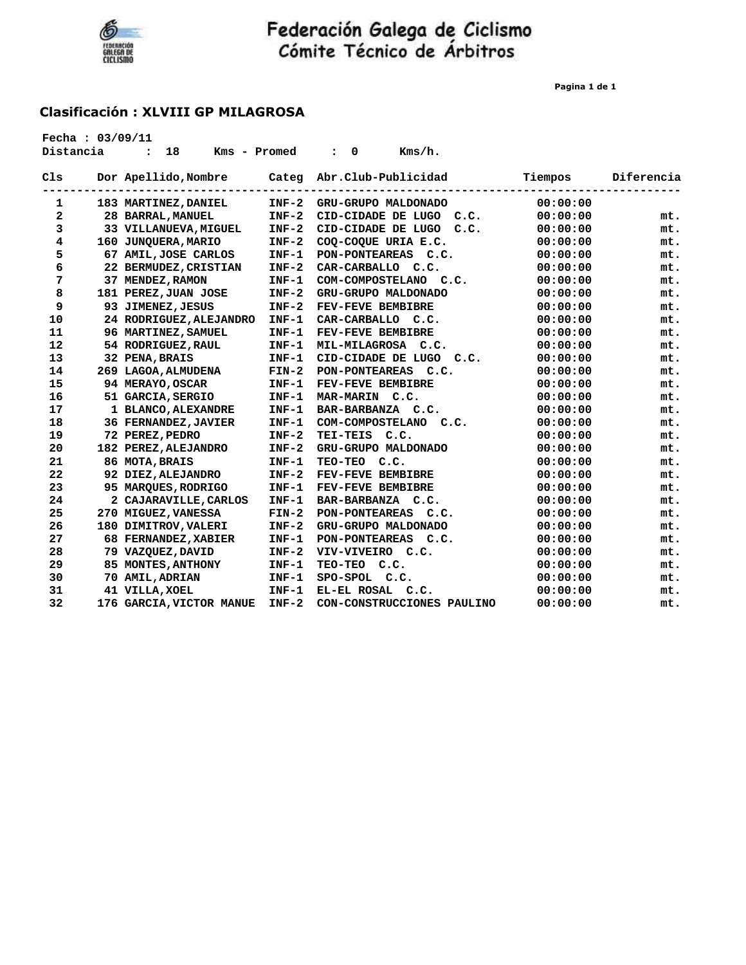

**Pagina 1 de 1**

| Fecha: $03/09/11$<br>Distancia | 18<br>Kms - Promed<br>$\ddot{\phantom{a}}$ |         | $Kms/h$ .<br>0<br>$\ddot{\phantom{a}}$ |          |            |
|--------------------------------|--------------------------------------------|---------|----------------------------------------|----------|------------|
| C1s                            | Dor Apellido, Nombre                       | Categ   | Abr.Club-Publicidad                    | Tiempos  | Diferencia |
| 1                              | 183 MARTINEZ, DANIEL                       | $INF-2$ | GRU-GRUPO MALDONADO                    | 00:00:00 |            |
| 2                              | 28 BARRAL, MANUEL                          | $INF-2$ | CID-CIDADE DE LUGO<br>C.C.             | 00:00:00 | mt.        |
| 3                              | 33 VILLANUEVA, MIGUEL                      | $INF-2$ | CID-CIDADE DE LUGO<br>C.C.             | 00:00:00 | mt.        |
| 4                              | 160 JUNQUERA, MARIO                        | $INF-2$ | COQ-COQUE URIA E.C.                    | 00:00:00 | mt.        |
| 5                              | 67 AMIL, JOSE CARLOS                       | $INF-1$ | PON-PONTEAREAS C.C.                    | 00:00:00 | mt.        |
| 6                              | 22 BERMUDEZ, CRISTIAN                      | $INF-2$ | CAR-CARBALLO C.C.                      | 00:00:00 | mt.        |
| 7                              | 37 MENDEZ, RAMON                           | $INF-1$ | COM-COMPOSTELANO C.C.                  | 00:00:00 | mt.        |
| 8                              | 181 PEREZ, JUAN JOSE                       | $INF-2$ | GRU-GRUPO MALDONADO                    | 00:00:00 | mt.        |
| 9                              | 93 JIMENEZ, JESUS                          | $INF-2$ | FEV-FEVE BEMBIBRE                      | 00:00:00 | mt.        |
| 10                             | 24 RODRIGUEZ, ALEJANDRO                    | $INF-1$ | CAR-CARBALLO C.C.                      | 00:00:00 | mt.        |
| 11                             | 96 MARTINEZ, SAMUEL                        | $INF-1$ | FEV-FEVE BEMBIBRE                      | 00:00:00 | mt.        |
| 12                             | 54 RODRIGUEZ, RAUL                         | $INF-1$ | MIL-MILAGROSA C.C.                     | 00:00:00 | mt.        |
| 13                             | 32 PENA, BRAIS                             | $INF-1$ | CID-CIDADE DE LUGO<br>C.C.             | 00:00:00 | mt.        |
| 14                             | 269 LAGOA, ALMUDENA                        | $FIN-2$ | PON-PONTEAREAS C.C.                    | 00:00:00 | mt.        |
| 15                             | 94 MERAYO, OSCAR                           | $INF-1$ | FEV-FEVE BEMBIBRE                      | 00:00:00 | mt.        |
| 16                             | 51 GARCIA, SERGIO                          | $INF-1$ | MAR-MARIN C.C.                         | 00:00:00 | mt.        |
| 17                             | 1 BLANCO, ALEXANDRE                        | $INF-1$ | BAR-BARBANZA C.C.                      | 00:00:00 | mt.        |
| 18                             | 36 FERNANDEZ, JAVIER                       | $INF-1$ | COM-COMPOSTELANO<br>C.C.               | 00:00:00 | mt.        |
| 19                             | 72 PEREZ, PEDRO                            | $INF-2$ | TEI-TEIS C.C.                          | 00:00:00 | mt.        |
| 20                             | 182 PEREZ, ALEJANDRO                       | $INF-2$ | GRU-GRUPO MALDONADO                    | 00:00:00 | mt.        |
| 21                             | 86 MOTA, BRAIS                             | $INF-1$ | TEO-TEO C.C.                           | 00:00:00 | mt.        |
| 22                             | 92 DIEZ, ALEJANDRO                         | $INF-2$ | FEV-FEVE BEMBIBRE                      | 00:00:00 | mt.        |
| 23                             | 95 MARQUES, RODRIGO                        | $INF-1$ | FEV-FEVE BEMBIBRE                      | 00:00:00 | mt.        |
| 24                             | 2 CAJARAVILLE, CARLOS                      | $INF-1$ | BAR-BARBANZA C.C.                      | 00:00:00 | mt.        |
| 25                             | 270 MIGUEZ, VANESSA                        | $FIN-2$ | PON-PONTEAREAS C.C.                    | 00:00:00 | mt.        |
| 26                             | 180 DIMITROV, VALERI                       | $INF-2$ | GRU-GRUPO MALDONADO                    | 00:00:00 | mt.        |
| 27                             | 68 FERNANDEZ, XABIER                       | $INF-1$ | PON-PONTEAREAS C.C.                    | 00:00:00 | mt.        |
| 28                             | 79 VAZQUEZ, DAVID                          | $INF-2$ | VIV-VIVEIRO C.C.                       | 00:00:00 | mt.        |
| 29                             | 85 MONTES, ANTHONY                         | $INF-1$ | TEO-TEO C.C.                           | 00:00:00 | mt.        |
| 30                             | 70 AMIL, ADRIAN                            | $INF-1$ | SPO-SPOL C.C.                          | 00:00:00 | mt.        |
| 31                             | 41 VILLA, XOEL                             | $INF-1$ | EL-EL ROSAL<br>C.C.                    | 00:00:00 | mt.        |
| 32                             | 176 GARCIA, VICTOR MANUE                   | INF-2   | CON-CONSTRUCCIONES PAULINO             | 00:00:00 | mt.        |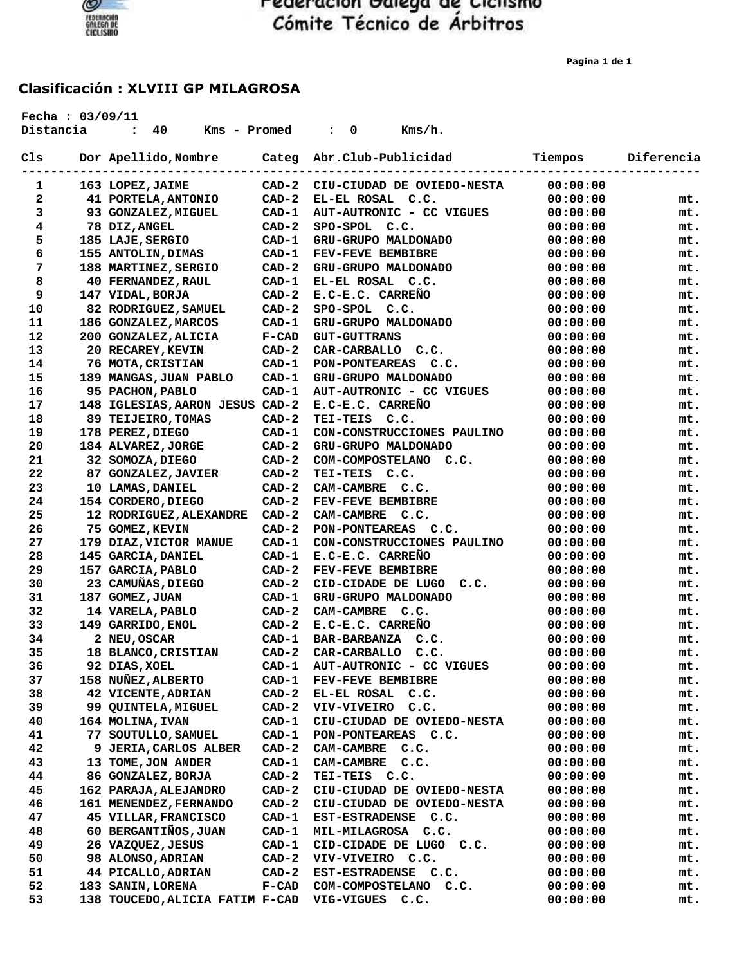

**Pagina 1 de 1**

| Distancia | Fecha: 03/09/11 | 40<br>Kms - Promed<br>$\ddot{\cdot}$ |         | 0<br>Kms/h.<br>$\ddot{\cdot}$ |          |            |
|-----------|-----------------|--------------------------------------|---------|-------------------------------|----------|------------|
| Cls       |                 | Dor Apellido, Nombre                 | Categ   | Abr.Club-Publicidad           | Tiempos  | Diferencia |
| 1         |                 | 163 LOPEZ, JAIME                     | $CAD-2$ | CIU-CIUDAD DE OVIEDO-NESTA    | 00:00:00 |            |
| 2         |                 | 41 PORTELA, ANTONIO                  | $CAD-2$ | EL-EL ROSAL C.C.              | 00:00:00 | mt.        |
| 3         |                 | 93 GONZALEZ, MIGUEL                  | CAD-1   | AUT-AUTRONIC - CC VIGUES      | 00:00:00 | mt.        |
| 4         |                 | 78 DIZ, ANGEL                        | $CAD-2$ | SPO-SPOL C.C.                 | 00:00:00 | mt.        |
| 5         |                 | 185 LAJE, SERGIO                     | $CAD-1$ | GRU-GRUPO MALDONADO           | 00:00:00 | mt.        |
| 6         |                 | 155 ANTOLIN, DIMAS                   | $CAD-1$ | FEV-FEVE BEMBIBRE             | 00:00:00 | mt.        |
| 7         |                 | 188 MARTINEZ, SERGIO                 | $CAD-2$ | GRU-GRUPO MALDONADO           | 00:00:00 | mt.        |
| 8         |                 | <b>40 FERNANDEZ, RAUL</b>            | CAD-1   | EL-EL ROSAL C.C.              | 00:00:00 | mt.        |
| 9         |                 | 147 VIDAL, BORJA                     | $CAD-2$ | E.C-E.C. CARRENO              | 00:00:00 | mt.        |
| 10        |                 | 82 RODRIGUEZ, SAMUEL                 | $CAD-2$ | SPO-SPOL C.C.                 | 00:00:00 | mt.        |
| 11        |                 | 186 GONZALEZ, MARCOS                 | $CAD-1$ | GRU-GRUPO MALDONADO           | 00:00:00 | mt.        |
| 12        |                 | 200 GONZALEZ, ALICIA                 | $F-CAD$ | <b>GUT-GUTTRANS</b>           | 00:00:00 | mt.        |
| 13        |                 | 20 RECAREY, KEVIN                    | $CAD-2$ | CAR-CARBALLO C.C.             | 00:00:00 | mt.        |
| 14        |                 | 76 MOTA, CRISTIAN                    | $CAD-1$ | PON-PONTEAREAS C.C.           | 00:00:00 | mt.        |
| 15        |                 | 189 MANGAS, JUAN PABLO               | $CAD-1$ | GRU-GRUPO MALDONADO           | 00:00:00 | mt.        |
| 16        |                 | 95 PACHON, PABLO                     | $CAD-1$ | AUT-AUTRONIC - CC VIGUES      | 00:00:00 | mt.        |
| 17        |                 | 148 IGLESIAS, AARON JESUS CAD-2      |         | E.C-E.C. CARRENO              | 00:00:00 | mt.        |
| 18        |                 | 89 TEIJEIRO, TOMAS                   | $CAD-2$ | TEI-TEIS C.C.                 | 00:00:00 | mt.        |
| 19        |                 | 178 PEREZ, DIEGO                     | $CAD-1$ | CON-CONSTRUCCIONES PAULINO    | 00:00:00 | mt.        |
| 20        |                 | 184 ALVAREZ, JORGE                   | $CAD-2$ | GRU-GRUPO MALDONADO           | 00:00:00 | mt.        |
| 21        |                 | 32 SOMOZA, DIEGO                     | $CAD-2$ | COM-COMPOSTELANO C.C.         | 00:00:00 | mt.        |
| 22        |                 | 87 GONZALEZ, JAVIER                  | $CAD-2$ | TEI-TEIS C.C.                 | 00:00:00 | mt.        |
| 23        |                 | 10 LAMAS, DANIEL                     | $CAD-2$ | CAM-CAMBRE C.C.               | 00:00:00 | mt.        |
| 24        |                 | 154 CORDERO, DIEGO                   | $CAD-2$ | FEV-FEVE BEMBIBRE             | 00:00:00 | mt.        |
| 25        |                 | 12 RODRIGUEZ, ALEXANDRE              | $CAD-2$ | CAM-CAMBRE C.C.               | 00:00:00 | mt.        |
| 26        |                 | 75 GOMEZ, KEVIN                      | $CAD-2$ | PON-PONTEAREAS C.C.           | 00:00:00 | mt.        |
| 27        |                 | 179 DIAZ, VICTOR MANUE               | $CAD-1$ | CON-CONSTRUCCIONES PAULINO    | 00:00:00 | mt.        |
| 28        |                 | 145 GARCIA, DANIEL                   | $CAD-1$ | E.C-E.C. CARRENO              | 00:00:00 | mt.        |
| 29        |                 | 157 GARCIA, PABLO                    | $CAD-2$ | FEV-FEVE BEMBIBRE             | 00:00:00 | mt.        |
| 30        |                 | 23 CAMUÑAS, DIEGO                    | $CAD-2$ | CID-CIDADE DE LUGO<br>C.C.    | 00:00:00 | mt.        |
| 31        |                 | 187 GOMEZ, JUAN                      | $CAD-1$ | GRU-GRUPO MALDONADO           | 00:00:00 | mt.        |
| 32        |                 | 14 VARELA, PABLO                     | $CAD-2$ | CAM-CAMBRE C.C.               | 00:00:00 | mt.        |
| 33        |                 | 149 GARRIDO, ENOL                    | $CAD-2$ | E.C-E.C. CARREÑO              | 00:00:00 | mt.        |
| 34        |                 | 2 NEU, OSCAR                         | $CAD-1$ | BAR-BARBANZA C.C.             | 00:00:00 | mt.        |
| 35        |                 | 18 BLANCO, CRISTIAN                  | $CAD-2$ | CAR-CARBALLO C.C.             | 00:00:00 | mt.        |
| 36        |                 | 92 DIAS, XOEL                        | CAD-1   | AUT-AUTRONIC - CC VIGUES      | 00:00:00 | mt.        |
| 37        |                 | 158 NUÑEZ, ALBERTO                   | CAD-1   | FEV-FEVE BEMBIBRE             | 00:00:00 | mt.        |
| 38        |                 | 42 VICENTE, ADRIAN                   | $CAD-2$ | EL-EL ROSAL C.C.              | 00:00:00 | mt.        |
| 39        |                 | 99 QUINTELA, MIGUEL                  | $CAD-2$ | VIV-VIVEIRO C.C.              | 00:00:00 | mt.        |
| 40        |                 | 164 MOLINA, IVAN                     | $CAD-1$ | CIU-CIUDAD DE OVIEDO-NESTA    | 00:00:00 | mt.        |
| 41        |                 | 77 SOUTULLO, SAMUEL                  | $CAD-1$ | PON-PONTEAREAS C.C.           | 00:00:00 | mt.        |
| 42        |                 | 9 JERIA, CARLOS ALBER                | $CAD-2$ | CAM-CAMBRE C.C.               | 00:00:00 | mt.        |
| 43        |                 | 13 TOME, JON ANDER                   | $CAD-1$ | CAM-CAMBRE C.C.               | 00:00:00 | mt.        |
| 44        |                 | 86 GONZALEZ, BORJA                   | $CAD-2$ | TEI-TEIS C.C.                 | 00:00:00 | mt.        |
| 45        |                 | 162 PARAJA, ALEJANDRO                | $CAD-2$ | CIU-CIUDAD DE OVIEDO-NESTA    | 00:00:00 | mt.        |
| 46        |                 | 161 MENENDEZ, FERNANDO               | $CAD-2$ | CIU-CIUDAD DE OVIEDO-NESTA    | 00:00:00 | mt.        |
| 47        |                 | 45 VILLAR, FRANCISCO                 | $CAD-1$ | EST-ESTRADENSE C.C.           | 00:00:00 | mt.        |
| 48        |                 | 60 BERGANTIÑOS, JUAN                 | $CAD-1$ | MIL-MILAGROSA C.C.            | 00:00:00 | mt.        |
| 49        |                 | 26 VAZQUEZ, JESUS                    | $CAD-1$ | CID-CIDADE DE LUGO C.C.       | 00:00:00 | mt.        |
| 50        |                 | 98 ALONSO, ADRIAN                    | $CAD-2$ | VIV-VIVEIRO C.C.              | 00:00:00 | mt.        |
| 51        |                 | 44 PICALLO, ADRIAN                   | $CAD-2$ | EST-ESTRADENSE C.C.           | 00:00:00 | mt.        |
| 52        |                 | 183 SANIN, LORENA                    | $F-CAD$ | COM-COMPOSTELANO C.C.         | 00:00:00 | mt.        |
| 53        |                 | 138 TOUCEDO, ALICIA FATIM F-CAD      |         | VIG-VIGUES C.C.               | 00:00:00 | mt.        |